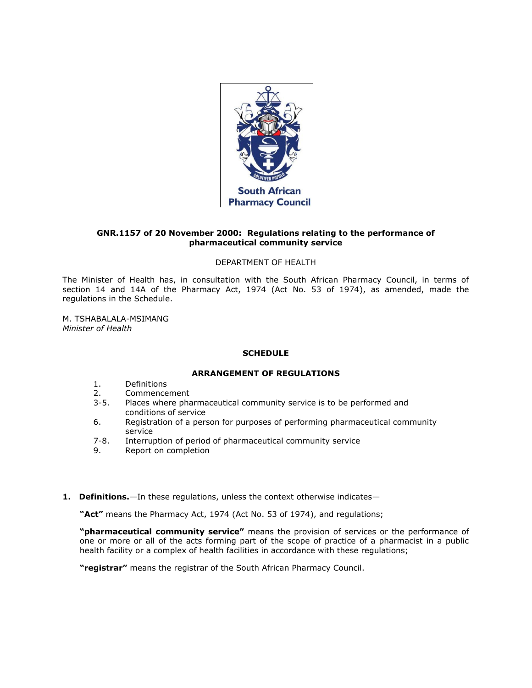

## **GNR.1157 of 20 November 2000: Regulations relating to the performance of pharmaceutical community service**

## DEPARTMENT OF HEALTH

The Minister of Health has, in consultation with the South African Pharmacy Council, in terms of [section 14](http://www.mylexisnexis.co.za/nxt/gateway.dll/jilc/kilc/xjsg/zmsg/0msg/614h#0) and [14A](http://www.mylexisnexis.co.za/nxt/gateway.dll/jilc/kilc/xjsg/zmsg/0msg/814h#0) of the Pharmacy Act, 1974 (Act [No. 53 of 1974\)](http://www.mylexisnexis.co.za/nxt/gateway.dll/jilc/kilc/xjsg/zmsg/0msg#0), as amended, made the regulations in [the Schedule.](http://www.mylexisnexis.co.za/nxt/gateway.dll/jilc/kilc/xjsg/zmsg/cnsg/6ok2a/pqk2a?f=templates$fn=document-frame.htm$3.0$q=$x=$nc=7495#34o)

M. TSHABALALA-MSIMANG *Minister of Health*

## **SCHEDULE**

## **ARRANGEMENT OF REGULATIONS**

- [1.](http://www.mylexisnexis.co.za/nxt/gateway.dll/jilc/kilc/xjsg/zmsg/cnsg/6ok2a/pqk2a/qqk2a#34n) Definitions
- [2.](http://www.mylexisnexis.co.za/nxt/gateway.dll/jilc/kilc/xjsg/zmsg/cnsg/6ok2a/pqk2a/rqk2a#34r) Commencement
- [3](http://www.mylexisnexis.co.za/nxt/gateway.dll/jilc/kilc/xjsg/zmsg/cnsg/6ok2a/pqk2a/sqk2a#34s)[-5.](http://www.mylexisnexis.co.za/nxt/gateway.dll/jilc/kilc/xjsg/zmsg/cnsg/6ok2a/pqk2a/uqk2a#34u) Places where pharmaceutical community service is to be performed and conditions of service
- [6.](http://www.mylexisnexis.co.za/nxt/gateway.dll/jilc/kilc/xjsg/zmsg/cnsg/6ok2a/pqk2a/vqk2a#34v) Registration of a person for purposes of performing pharmaceutical community service
- [7](http://www.mylexisnexis.co.za/nxt/gateway.dll/jilc/kilc/xjsg/zmsg/cnsg/6ok2a/pqk2a/wqk2a#34y)[-8.](http://www.mylexisnexis.co.za/nxt/gateway.dll/jilc/kilc/xjsg/zmsg/cnsg/6ok2a/pqk2a/xqk2a#34z) Interruption of period of pharmaceutical community service
- [9.](http://www.mylexisnexis.co.za/nxt/gateway.dll/jilc/kilc/xjsg/zmsg/cnsg/6ok2a/pqk2a/yqk2a#350) Report on completion
- 1. Definitions.—In these regulations, unless the context otherwise indicates—

**"Act"** means the Pharmacy Act, 1974 (Act [No. 53 of 1974\)](http://www.mylexisnexis.co.za/nxt/gateway.dll/jilc/kilc/xjsg/zmsg/0msg#0), and regulations;

**"pharmaceutical community service"** means the provision of services or the performance of one or more or all of the acts forming part of the scope of practice of a pharmacist in a public health facility or a complex of health facilities in accordance with these regulations;

**"registrar"** means the registrar of the South African Pharmacy Council.